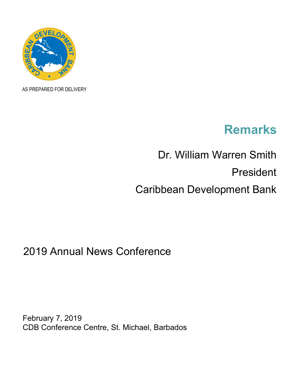

AS PREPARED FOR DELIVERY

## **Remarks**

## Dr. William Warren Smith President Caribbean Development Bank

## 2019 Annual News Conference

February 7, 2019 CDB Conference Centre, St. Michael, Barbados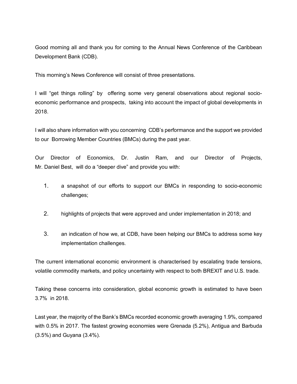Good morning all and thank you for coming to the Annual News Conference of the Caribbean Development Bank (CDB).

This morning's News Conference will consist of three presentations.

I will "get things rolling" by offering some very general observations about regional socioeconomic performance and prospects, taking into account the impact of global developments in 2018.

I will also share information with you concerning CDB's performance and the support we provided to our Borrowing Member Countries (BMCs) during the past year.

Our Director of Economics, Dr. Justin Ram, and our Director of Projects, Mr. Daniel Best, will do a "deeper dive" and provide you with:

- 1. a snapshot of our efforts to support our BMCs in responding to socio-economic challenges;
- 2. highlights of projects that were approved and under implementation in 2018; and
- 3. an indication of how we, at CDB, have been helping our BMCs to address some key implementation challenges.

The current international economic environment is characterised by escalating trade tensions, volatile commodity markets, and policy uncertainty with respect to both BREXIT and U.S. trade.

Taking these concerns into consideration, global economic growth is estimated to have been 3.7% in 2018.

Last year, the majority of the Bank's BMCs recorded economic growth averaging 1.9%, compared with 0.5% in 2017. The fastest growing economies were Grenada (5.2%), Antigua and Barbuda (3.5%) and Guyana (3.4%).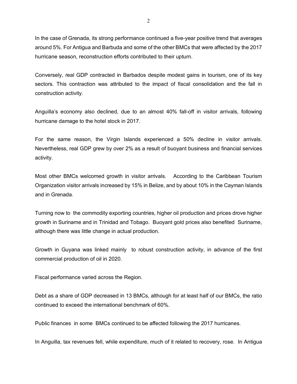In the case of Grenada, its strong performance continued a five-year positive trend that averages around 5%. For Antigua and Barbuda and some of the other BMCs that were affected by the 2017 hurricane season, reconstruction efforts contributed to their upturn.

Conversely, real GDP contracted in Barbados despite modest gains in tourism, one of its key sectors. This contraction was attributed to the impact of fiscal consolidation and the fall in construction activity.

Anguilla's economy also declined, due to an almost 40% fall-off in visitor arrivals, following hurricane damage to the hotel stock in 2017.

For the same reason, the Virgin Islands experienced a 50% decline in visitor arrivals. Nevertheless, real GDP grew by over 2% as a result of buoyant business and financial services activity.

Most other BMCs welcomed growth in visitor arrivals. According to the Caribbean Tourism Organization visitor arrivals increased by 15% in Belize, and by about 10% in the Cayman Islands and in Grenada.

Turning now to the commodity exporting countries, higher oil production and prices drove higher growth in Suriname and in Trinidad and Tobago. Buoyant gold prices also benefited Suriname, although there was little change in actual production.

Growth in Guyana was linked mainly to robust construction activity, in advance of the first commercial production of oil in 2020.

Fiscal performance varied across the Region.

Debt as a share of GDP decreased in 13 BMCs, although for at least half of our BMCs, the ratio continued to exceed the international benchmark of 60%.

Public finances in some BMCs continued to be affected following the 2017 hurricanes.

In Anguilla, tax revenues fell, while expenditure, much of it related to recovery, rose. In Antigua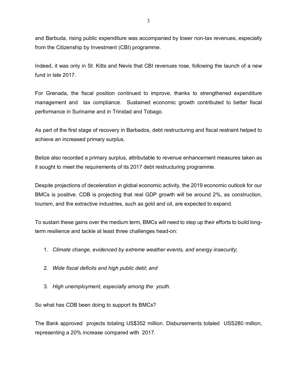and Barbuda, rising public expenditure was accompanied by lower non-tax revenues, especially from the Citizenship by Investment (CBI) programme.

Indeed, it was only in St. Kitts and Nevis that CBI revenues rose, following the launch of a new fund in late 2017.

For Grenada, the fiscal position continued to improve, thanks to strengthened expenditure management and tax compliance. Sustained economic growth contributed to better fiscal performance in Suriname and in Trinidad and Tobago.

As part of the first stage of recovery in Barbados, debt restructuring and fiscal restraint helped to achieve an increased primary surplus.

Belize also recorded a primary surplus, attributable to revenue enhancement measures taken as it sought to meet the requirements of its 2017 debt restructuring programme.

Despite projections of deceleration in global economic activity, the 2019 economic outlook for our BMCs is positive. CDB is projecting that real GDP growth will be around 2%, as construction, tourism, and the extractive industries, such as gold and oil, are expected to expand.

To sustain these gains over the medium term, BMCs will need to step up their efforts to build longterm resilience and tackle at least three challenges head-on:

- 1. *Climate change, evidenced by extreme weather events, and energy insecurity*;
- 2. *Wide fiscal deficits and high public debt*; *and*
- 3. *High unemployment*, *especially among the youth*.

So what has CDB been doing to support its BMCs?

The Bank approved projects totaling US\$352 million. Disbursements totaled USS280 million, representing a 20% increase compared with 2017.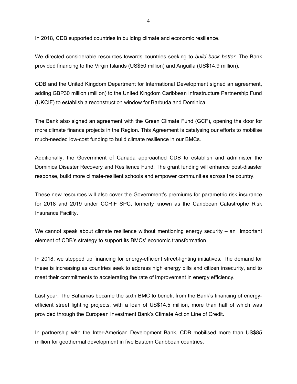In 2018, CDB supported countries in building climate and economic resilience.

We directed considerable resources towards countries seeking to *build back better*. The Bank provided financing to the Virgin Islands (US\$50 million) and Anguilla (US\$14.9 million).

CDB and the United Kingdom Department for International Development signed an agreement, adding GBP30 million (million) to the United Kingdom Caribbean Infrastructure Partnership Fund (UKCIF) to establish a reconstruction window for Barbuda and Dominica.

The Bank also signed an agreement with the Green Climate Fund (GCF), opening the door for more climate finance projects in the Region. This Agreement is catalysing our efforts to mobilise much-needed low-cost funding to build climate resilience in our BMCs.

Additionally, the Government of Canada approached CDB to establish and administer the Dominica Disaster Recovery and Resilience Fund. The grant funding will enhance post-disaster response, build more climate-resilient schools and empower communities across the country.

These new resources will also cover the Government's premiums for parametric risk insurance for 2018 and 2019 under CCRIF SPC, formerly known as the Caribbean Catastrophe Risk Insurance Facility.

We cannot speak about climate resilience without mentioning energy security  $-$  an important element of CDB's strategy to support its BMCs' economic transformation.

In 2018, we stepped up financing for energy-efficient street-lighting initiatives. The demand for these is increasing as countries seek to address high energy bills and citizen insecurity, and to meet their commitments to accelerating the rate of improvement in energy efficiency.

Last year, The Bahamas became the sixth BMC to benefit from the Bank's financing of energyefficient street lighting projects, with a loan of US\$14.5 million, more than half of which was provided through the European Investment Bank's Climate Action Line of Credit.

In partnership with the Inter-American Development Bank, CDB mobilised more than US\$85 million for geothermal development in five Eastern Caribbean countries.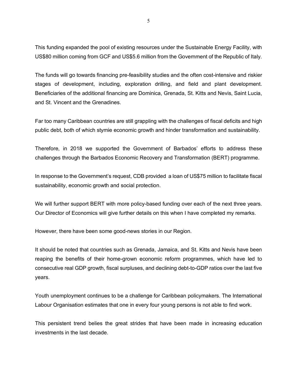This funding expanded the pool of existing resources under the Sustainable Energy Facility, with US\$80 million coming from GCF and US\$5.6 million from the Government of the Republic of Italy.

The funds will go towards financing pre-feasibility studies and the often cost-intensive and riskier stages of development, including, exploration drilling, and field and plant development. Beneficiaries of the additional financing are Dominica, Grenada, St. Kitts and Nevis, Saint Lucia, and St. Vincent and the Grenadines.

Far too many Caribbean countries are still grappling with the challenges of fiscal deficits and high public debt, both of which stymie economic growth and hinder transformation and sustainability.

Therefore, in 2018 we supported the Government of Barbados' efforts to address these challenges through the Barbados Economic Recovery and Transformation (BERT) programme.

In response to the Government's request, CDB provided a loan of US\$75 million to facilitate fiscal sustainability, economic growth and social protection.

We will further support BERT with more policy-based funding over each of the next three years. Our Director of Economics will give further details on this when I have completed my remarks.

However, there have been some good-news stories in our Region.

It should be noted that countries such as Grenada, Jamaica, and St. Kitts and Nevis have been reaping the benefits of their home-grown economic reform programmes, which have led to consecutive real GDP growth, fiscal surpluses, and declining debt-to-GDP ratios over the last five years.

Youth unemployment continues to be a challenge for Caribbean policymakers. The International Labour Organisation estimates that one in every four young persons is not able to find work.

This persistent trend belies the great strides that have been made in increasing education investments in the last decade.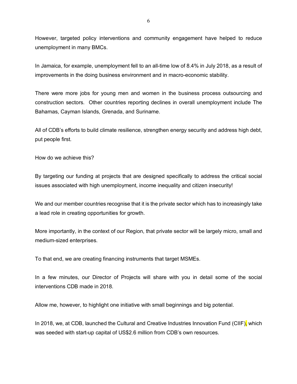However, targeted policy interventions and community engagement have helped to reduce unemployment in many BMCs.

In Jamaica, for example, unemployment fell to an all-time low of 8.4% in July 2018, as a result of improvements in the doing business environment and in macro-economic stability.

There were more jobs for young men and women in the business process outsourcing and construction sectors. Other countries reporting declines in overall unemployment include The Bahamas, Cayman Islands, Grenada, and Suriname.

All of CDB's efforts to build climate resilience, strengthen energy security and address high debt, put people first.

How do we achieve this?

By targeting our funding at projects that are designed specifically to address the critical social issues associated with high unemployment, income inequality and citizen insecurity!

We and our member countries recognise that it is the private sector which has to increasingly take a lead role in creating opportunities for growth.

More importantly, in the context of our Region, that private sector will be largely micro, small and medium-sized enterprises.

To that end, we are creating financing instruments that target MSMEs.

In a few minutes, our Director of Projects will share with you in detail some of the social interventions CDB made in 2018.

Allow me, however, to highlight one initiative with small beginnings and big potential.

In 2018, we, at CDB, launched the Cultural and Creative Industries Innovation Fund (CIIF), which was seeded with start-up capital of US\$2.6 million from CDB's own resources.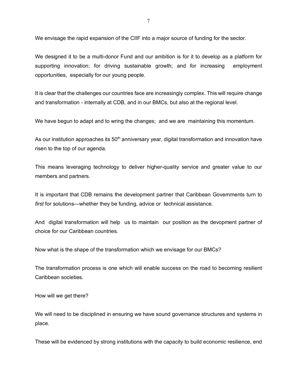We envisage the rapid expansion of the CIIF into a major source of funding for the sector.

We designed it to be a multi-donor Fund and our ambition is for it to develop as a platform for supporting innovation; for driving sustainable growth; and for increasing employment opportunities, especially for our young people.

It is clear that the challenges our countries face are increasingly complex. This will require change and transformation - internally at CDB, and in our BMCs, but also at the regional level.

We have begun to adapt and to wring the changes; and we are maintaining this momentum.

As our institution approaches its  $50<sup>th</sup>$  anniversary year, digital transformation and innovation have risen to the top of our agenda.

This means leveraging technology to deliver higher-quality service and greater value to our members and partners.

It is important that CDB remains the development partner that Caribbean Governments turn to *first* for solutions—whether they be funding, advice or technical assistance.

And digital transformation will help us to maintain our position as the devopment partner of choice for our Caribbean countries.

Now what is the shape of the transformation which we envisage for our BMCs?

The transformation process is one which will enable success on the road to becoming resilient Caribbean societies.

How will we get there?

We will need to be disciplined in ensuring we have sound governance structures and systems in place.

These will be evidenced by strong institutions with the capacity to build economic resilience, end